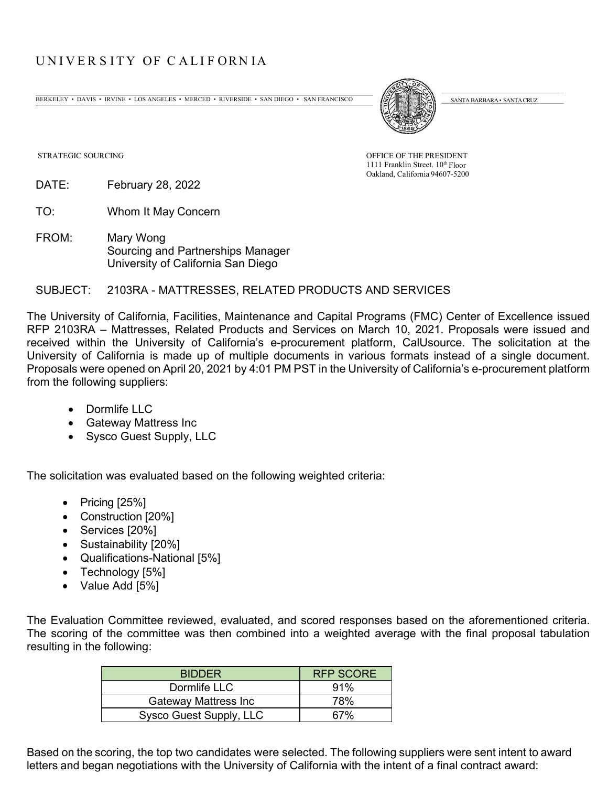## UNIVE R S ITY OF C ALI F ORN IA

BERKELEY • DAVIS • IRVINE • LOS ANGELES • MERCED • RIVERSIDE • SAN DIEGO • SAN FRANCISCO (SANTA BARBARA • SANTA GRUZ



1111 Franklin Street. 10<sup>th</sup> Floor Oakland, California 94607-5200

STRATEGIC SOURCING OF THE PRESIDENT

DATE: February 28, 2022

TO: Whom It May Concern

FROM: Mary Wong Sourcing and Partnerships Manager University of California San Diego

## SUBJECT: 2103RA - MATTRESSES, RELATED PRODUCTS AND SERVICES

The University of California, Facilities, Maintenance and Capital Programs (FMC) Center of Excellence issued RFP 2103RA – Mattresses, Related Products and Services on March 10, 2021. Proposals were issued and received within the University of California's e-procurement platform, CalUsource. The solicitation at the University of California is made up of multiple documents in various formats instead of a single document. Proposals were opened on April 20, 2021 by 4:01 PM PST in the University of California's e-procurement platform from the following suppliers:

- Dormlife LLC
- Gateway Mattress Inc
- Sysco Guest Supply, LLC

The solicitation was evaluated based on the following weighted criteria:

- Pricing [25%]
- Construction [20%]
- Services [20%]
- Sustainability [20%]
- Qualifications-National [5%]
- Technology [5%]
- Value Add [5%]

The Evaluation Committee reviewed, evaluated, and scored responses based on the aforementioned criteria. The scoring of the committee was then combined into a weighted average with the final proposal tabulation resulting in the following:

| <b>BIDDER</b>           | <b>RFP SCORE</b> |
|-------------------------|------------------|
| Dormlife LLC            | 91%              |
| Gateway Mattress Inc    | 78%              |
| Sysco Guest Supply, LLC | 67%              |
|                         |                  |

Based on the scoring, the top two candidates were selected. The following suppliers were sent intent to award letters and began negotiations with the University of California with the intent of a final contract award: